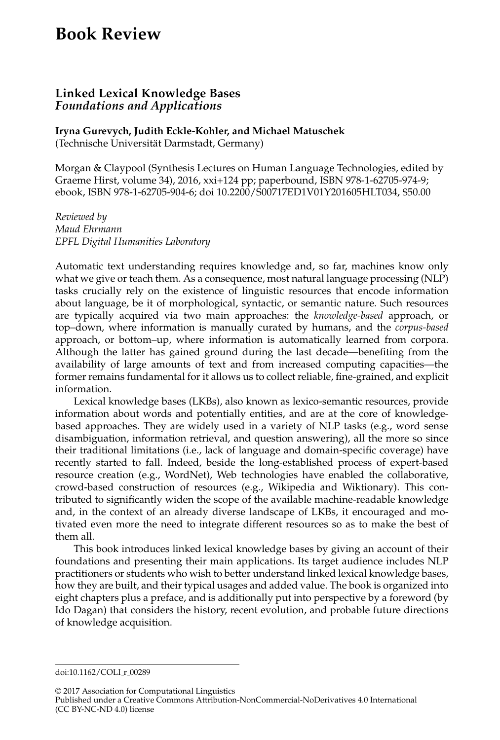## **Book Review**

## **Linked Lexical Knowledge Bases** *Foundations and Applications*

**Iryna Gurevych, Judith Eckle-Kohler, and Michael Matuschek**

(Technische Universitat Darmstadt, Germany) ¨

Morgan & Claypool (Synthesis Lectures on Human Language Technologies, edited by Graeme Hirst, volume 34), 2016, xxi+124 pp; paperbound, ISBN 978-1-62705-974-9; ebook, ISBN 978-1-62705-904-6; doi 10.2200/S00717ED1V01Y201605HLT034, \$50.00

*Reviewed by Maud Ehrmann EPFL Digital Humanities Laboratory*

Automatic text understanding requires knowledge and, so far, machines know only what we give or teach them. As a consequence, most natural language processing (NLP) tasks crucially rely on the existence of linguistic resources that encode information about language, be it of morphological, syntactic, or semantic nature. Such resources are typically acquired via two main approaches: the *knowledge-based* approach, or top–down, where information is manually curated by humans, and the *corpus-based* approach, or bottom–up, where information is automatically learned from corpora. Although the latter has gained ground during the last decade—benefiting from the availability of large amounts of text and from increased computing capacities—the former remains fundamental for it allows us to collect reliable, fine-grained, and explicit information.

Lexical knowledge bases (LKBs), also known as lexico-semantic resources, provide information about words and potentially entities, and are at the core of knowledgebased approaches. They are widely used in a variety of NLP tasks (e.g., word sense disambiguation, information retrieval, and question answering), all the more so since their traditional limitations (i.e., lack of language and domain-specific coverage) have recently started to fall. Indeed, beside the long-established process of expert-based resource creation (e.g., WordNet), Web technologies have enabled the collaborative, crowd-based construction of resources (e.g., Wikipedia and Wiktionary). This contributed to significantly widen the scope of the available machine-readable knowledge and, in the context of an already diverse landscape of LKBs, it encouraged and motivated even more the need to integrate different resources so as to make the best of them all.

This book introduces linked lexical knowledge bases by giving an account of their foundations and presenting their main applications. Its target audience includes NLP practitioners or students who wish to better understand linked lexical knowledge bases, how they are built, and their typical usages and added value. The book is organized into eight chapters plus a preface, and is additionally put into perspective by a foreword (by Ido Dagan) that considers the history, recent evolution, and probable future directions of knowledge acquisition.

© 2017 Association for Computational Linguistics Published under a Creative Commons Attribution-NonCommercial-NoDerivatives 4.0 International

(CC BY-NC-ND 4.0) license

doi:10.1162/COLI\_r\_00289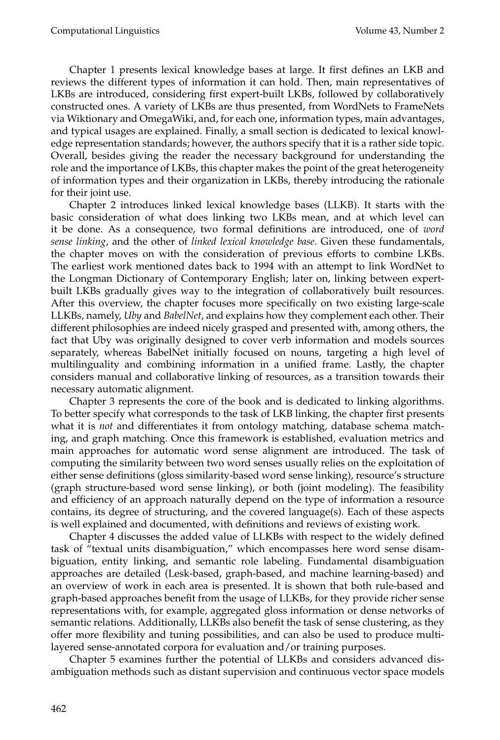Chapter 1 presents lexical knowledge bases at large. It first defines an LKB and reviews the different types of information it can hold. Then, main representatives of LKBs are introduced, considering first expert-built LKBs, followed by collaboratively constructed ones. A variety of LKBs are thus presented, from WordNets to FrameNets via Wiktionary and OmegaWiki, and, for each one, information types, main advantages, and typical usages are explained. Finally, a small section is dedicated to lexical knowledge representation standards; however, the authors specify that it is a rather side topic. Overall, besides giving the reader the necessary background for understanding the role and the importance of LKBs, this chapter makes the point of the great heterogeneity of information types and their organization in LKBs, thereby introducing the rationale for their joint use.

Chapter 2 introduces linked lexical knowledge bases (LLKB). It starts with the basic consideration of what does linking two LKBs mean, and at which level can it be done. As a consequence, two formal definitions are introduced, one of *word sense linking*, and the other of *linked lexical knowledge base*. Given these fundamentals, the chapter moves on with the consideration of previous efforts to combine LKBs. The earliest work mentioned dates back to 1994 with an attempt to link WordNet to the Longman Dictionary of Contemporary English; later on, linking between expertbuilt LKBs gradually gives way to the integration of collaboratively built resources. After this overview, the chapter focuses more specifically on two existing large-scale LLKBs, namely, *Uby* and *BabelNet*, and explains how they complement each other. Their different philosophies are indeed nicely grasped and presented with, among others, the fact that Uby was originally designed to cover verb information and models sources separately, whereas BabelNet initially focused on nouns, targeting a high level of multilinguality and combining information in a unified frame. Lastly, the chapter considers manual and collaborative linking of resources, as a transition towards their necessary automatic alignment.

Chapter 3 represents the core of the book and is dedicated to linking algorithms. To better specify what corresponds to the task of LKB linking, the chapter first presents what it is *not* and differentiates it from ontology matching, database schema matching, and graph matching. Once this framework is established, evaluation metrics and main approaches for automatic word sense alignment are introduced. The task of computing the similarity between two word senses usually relies on the exploitation of either sense definitions (gloss similarity-based word sense linking), resource's structure (graph structure-based word sense linking), or both (joint modeling). The feasibility and efficiency of an approach naturally depend on the type of information a resource contains, its degree of structuring, and the covered language(s). Each of these aspects is well explained and documented, with definitions and reviews of existing work.

Chapter 4 discusses the added value of LLKBs with respect to the widely defined task of "textual units disambiguation," which encompasses here word sense disambiguation, entity linking, and semantic role labeling. Fundamental disambiguation approaches are detailed (Lesk-based, graph-based, and machine learning-based) and an overview of work in each area is presented. It is shown that both rule-based and graph-based approaches benefit from the usage of LLKBs, for they provide richer sense representations with, for example, aggregated gloss information or dense networks of semantic relations. Additionally, LLKBs also benefit the task of sense clustering, as they offer more flexibility and tuning possibilities, and can also be used to produce multilayered sense-annotated corpora for evaluation and/or training purposes.

Chapter 5 examines further the potential of LLKBs and considers advanced disambiguation methods such as distant supervision and continuous vector space models